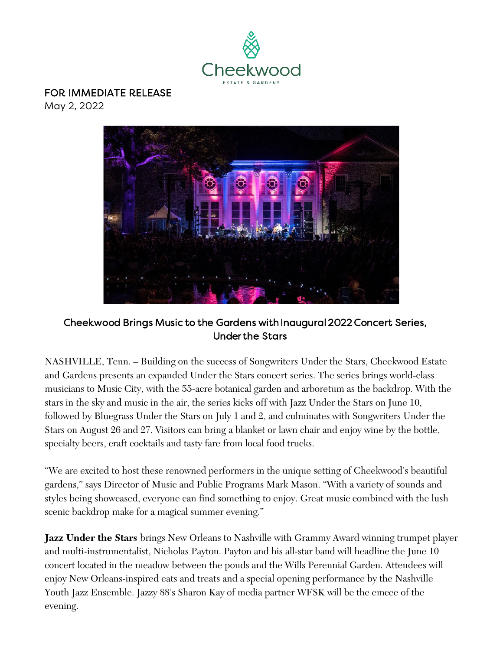

## FOR IMMEDIATE RELEASE

May 2, 2022



## Cheekwood Brings Music to the Gardens with Inaugural 2022 Concert Series, Under the Stars

NASHVILLE, Tenn. – Building on the success of Songwriters Under the Stars, Cheekwood Estate and Gardens presents an expanded Under the Stars concert series. The series brings world-class musicians to Music City, with the 55-acre botanical garden and arboretum as the backdrop. With the stars in the sky and music in the air, the series kicks off with Jazz Under the Stars on June 10, followed by Bluegrass Under the Stars on July 1 and 2, and culminates with Songwriters Under the Stars on August 26 and 27. Visitors can bring a blanket or lawn chair and enjoy wine by the bottle, specialty beers, craft cocktails and tasty fare from local food trucks.

"We are excited to host these renowned performers in the unique setting of Cheekwood's beautiful gardens," says Director of Music and Public Programs Mark Mason. "With a variety of sounds and styles being showcased, everyone can find something to enjoy. Great music combined with the lush scenic backdrop make for a magical summer evening."

**Jazz Under the Stars** brings New Orleans to Nashville with Grammy Award winning trumpet player and multi-instrumentalist, Nicholas Payton. Payton and his all-star band will headline the June 10 concert located in the meadow between the ponds and the Wills Perennial Garden. Attendees will enjoy New Orleans-inspired eats and treats and a special opening performance by the Nashville Youth Jazz Ensemble. Jazzy 88's Sharon Kay of media partner WFSK will be the emcee of the evening.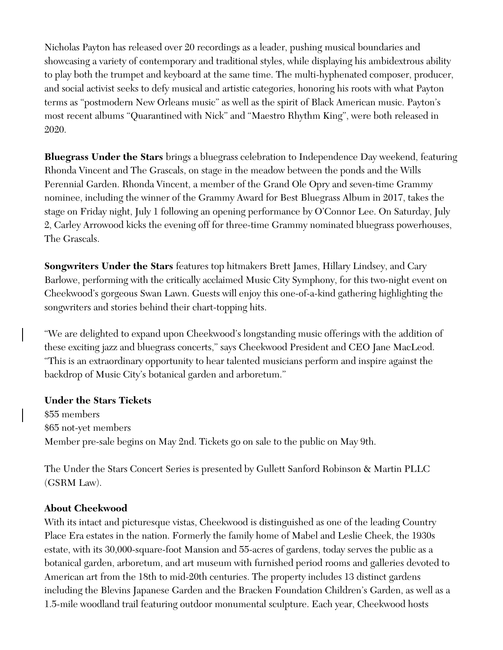Nicholas Payton has released over 20 recordings as a leader, pushing musical boundaries and showcasing a variety of contemporary and traditional styles, while displaying his ambidextrous ability to play both the trumpet and keyboard at the same time. The multi-hyphenated composer, producer, and social activist seeks to defy musical and artistic categories, honoring his roots with what Payton terms as "postmodern New Orleans music" as well as the spirit of Black American music. Payton's most recent albums "Quarantined with Nick" and "Maestro Rhythm King", were both released in 2020.

**Bluegrass Under the Stars** brings a bluegrass celebration to Independence Day weekend, featuring Rhonda Vincent and The Grascals, on stage in the meadow between the ponds and the Wills Perennial Garden. Rhonda Vincent, a member of the Grand Ole Opry and seven-time Grammy nominee, including the winner of the Grammy Award for Best Bluegrass Album in 2017, takes the stage on Friday night, July 1 following an opening performance by O'Connor Lee. On Saturday, July 2, Carley Arrowood kicks the evening off for three-time Grammy nominated bluegrass powerhouses, The Grascals.

**Songwriters Under the Stars** features top hitmakers Brett James, Hillary Lindsey, and Cary Barlowe, performing with the critically acclaimed Music City Symphony, for this two-night event on Cheekwood's gorgeous Swan Lawn. Guests will enjoy this one-of-a-kind gathering highlighting the songwriters and stories behind their chart-topping hits.

"We are delighted to expand upon Cheekwood's longstanding music offerings with the addition of these exciting jazz and bluegrass concerts," says Cheekwood President and CEO Jane MacLeod. "This is an extraordinary opportunity to hear talented musicians perform and inspire against the backdrop of Music City's botanical garden and arboretum."

## **Under the Stars Tickets**

\$55 members \$65 not-yet members Member pre-sale begins on May 2nd. Tickets go on sale to the public on May 9th.

The Under the Stars Concert Series is presented by Gullett Sanford Robinson & Martin PLLC (GSRM Law).

## **About Cheekwood**

With its intact and picturesque vistas, Cheekwood is distinguished as one of the leading Country Place Era estates in the nation. Formerly the family home of Mabel and Leslie Cheek, the 1930s estate, with its 30,000-square-foot Mansion and 55-acres of gardens, today serves the public as a botanical garden, arboretum, and art museum with furnished period rooms and galleries devoted to American art from the 18th to mid-20th centuries. The property includes 13 distinct gardens including the Blevins Japanese Garden and the Bracken Foundation Children's Garden, as well as a 1.5-mile woodland trail featuring outdoor monumental sculpture. Each year, Cheekwood hosts